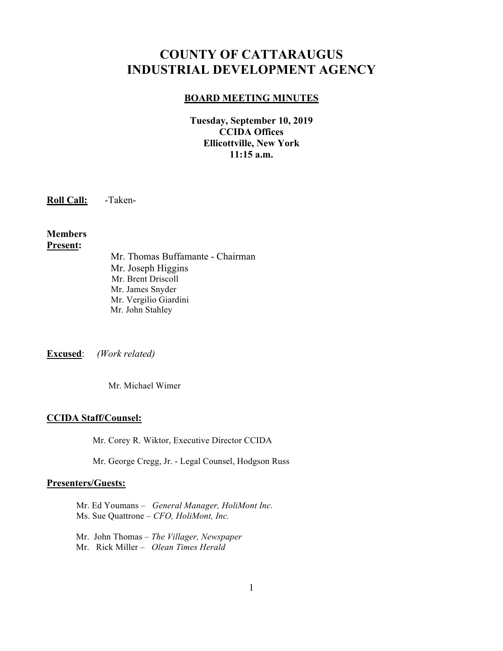# **COUNTY OF CATTARAUGUS INDUSTRIAL DEVELOPMENT AGENCY**

#### **BOARD MEETING MINUTES**

**Tuesday, September 10, 2019 CCIDA Offices Ellicottville, New York 11:15 a.m.**

**Roll Call:** -Taken-

**Members Present:**

> Mr. Thomas Buffamante - Chairman Mr. Joseph Higgins Mr. Brent Driscoll Mr. James Snyder Mr. Vergilio Giardini Mr. John Stahley

**Excused**: *(Work related)*

Mr. Michael Wimer

# **CCIDA Staff/Counsel:**

Mr. Corey R. Wiktor, Executive Director CCIDA

Mr. George Cregg, Jr. - Legal Counsel, Hodgson Russ

#### **Presenters/Guests:**

Mr. Ed Youmans – *General Manager, HoliMont Inc.* Ms. Sue Quattrone – *CFO, HoliMont, Inc.*

 Mr. John Thomas – *The Villager, Newspaper* Mr. Rick Miller – *Olean Times Herald*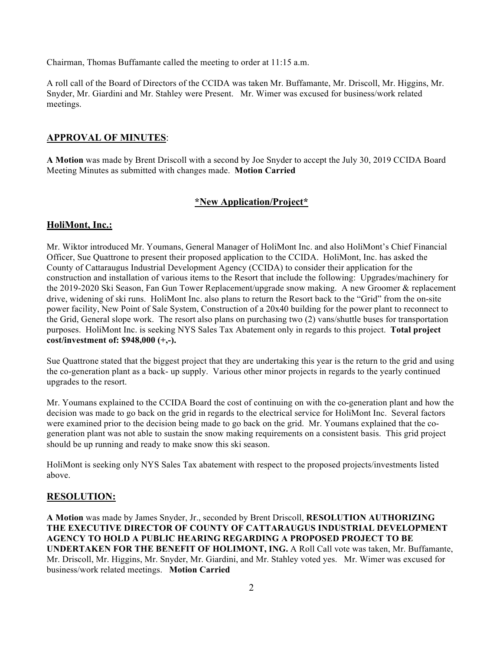Chairman, Thomas Buffamante called the meeting to order at 11:15 a.m.

A roll call of the Board of Directors of the CCIDA was taken Mr. Buffamante, Mr. Driscoll, Mr. Higgins, Mr. Snyder, Mr. Giardini and Mr. Stahley were Present. Mr. Wimer was excused for business/work related meetings.

## **APPROVAL OF MINUTES**:

**A Motion** was made by Brent Driscoll with a second by Joe Snyder to accept the July 30, 2019 CCIDA Board Meeting Minutes as submitted with changes made. **Motion Carried**

## **\*New Application/Project\***

#### **HoliMont, Inc.:**

Mr. Wiktor introduced Mr. Youmans, General Manager of HoliMont Inc. and also HoliMont's Chief Financial Officer, Sue Quattrone to present their proposed application to the CCIDA. HoliMont, Inc. has asked the County of Cattaraugus Industrial Development Agency (CCIDA) to consider their application for the construction and installation of various items to the Resort that include the following: Upgrades/machinery for the 2019-2020 Ski Season, Fan Gun Tower Replacement/upgrade snow making. A new Groomer & replacement drive, widening of ski runs. HoliMont Inc. also plans to return the Resort back to the "Grid" from the on-site power facility, New Point of Sale System, Construction of a 20x40 building for the power plant to reconnect to the Grid, General slope work. The resort also plans on purchasing two (2) vans/shuttle buses for transportation purposes. HoliMont Inc. is seeking NYS Sales Tax Abatement only in regards to this project. **Total project cost/investment of: \$948,000 (+,-).**

Sue Quattrone stated that the biggest project that they are undertaking this year is the return to the grid and using the co-generation plant as a back- up supply. Various other minor projects in regards to the yearly continued upgrades to the resort.

Mr. Youmans explained to the CCIDA Board the cost of continuing on with the co-generation plant and how the decision was made to go back on the grid in regards to the electrical service for HoliMont Inc. Several factors were examined prior to the decision being made to go back on the grid. Mr. Youmans explained that the cogeneration plant was not able to sustain the snow making requirements on a consistent basis. This grid project should be up running and ready to make snow this ski season.

HoliMont is seeking only NYS Sales Tax abatement with respect to the proposed projects/investments listed above.

#### **RESOLUTION:**

**A Motion** was made by James Snyder, Jr., seconded by Brent Driscoll, **RESOLUTION AUTHORIZING THE EXECUTIVE DIRECTOR OF COUNTY OF CATTARAUGUS INDUSTRIAL DEVELOPMENT AGENCY TO HOLD A PUBLIC HEARING REGARDING A PROPOSED PROJECT TO BE UNDERTAKEN FOR THE BENEFIT OF HOLIMONT, ING.** A Roll Call vote was taken, Mr. Buffamante, Mr. Driscoll, Mr. Higgins, Mr. Snyder, Mr. Giardini, and Mr. Stahley voted yes. Mr. Wimer was excused for business/work related meetings. **Motion Carried**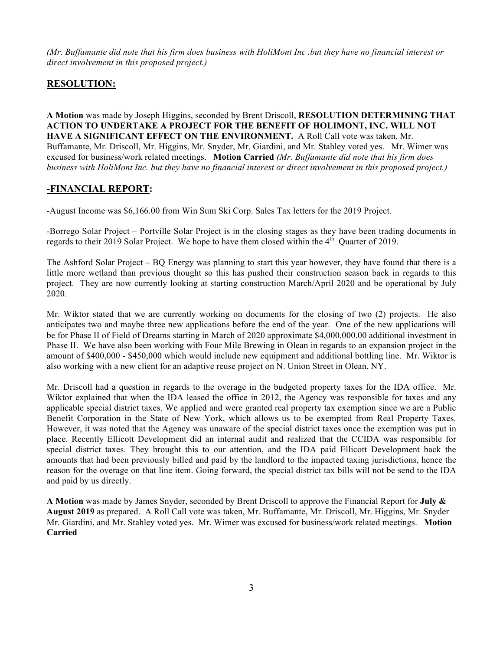*(Mr. Buffamante did note that his firm does business with HoliMont Inc .but they have no financial interest or direct involvement in this proposed project.)*

# **RESOLUTION:**

**A Motion** was made by Joseph Higgins, seconded by Brent Driscoll, **RESOLUTION DETERMINING THAT ACTION TO UNDERTAKE A PROJECT FOR THE BENEFIT OF HOLIMONT, INC. WILL NOT HAVE A SIGNIFICANT EFFECT ON THE ENVIRONMENT.** A Roll Call vote was taken, Mr. Buffamante, Mr. Driscoll, Mr. Higgins, Mr. Snyder, Mr. Giardini, and Mr. Stahley voted yes. Mr. Wimer was excused for business/work related meetings. **Motion Carried** *(Mr. Buffamante did note that his firm does business with HoliMont Inc. but they have no financial interest or direct involvement in this proposed project.)*

# **-FINANCIAL REPORT:**

-August Income was \$6,166.00 from Win Sum Ski Corp. Sales Tax letters for the 2019 Project.

-Borrego Solar Project – Portville Solar Project is in the closing stages as they have been trading documents in regards to their 2019 Solar Project. We hope to have them closed within the  $4<sup>th</sup>$  Quarter of 2019.

The Ashford Solar Project – BQ Energy was planning to start this year however, they have found that there is a little more wetland than previous thought so this has pushed their construction season back in regards to this project. They are now currently looking at starting construction March/April 2020 and be operational by July 2020.

Mr. Wiktor stated that we are currently working on documents for the closing of two (2) projects. He also anticipates two and maybe three new applications before the end of the year. One of the new applications will be for Phase II of Field of Dreams starting in March of 2020 approximate \$4,000,000.00 additional investment in Phase II. We have also been working with Four Mile Brewing in Olean in regards to an expansion project in the amount of \$400,000 - \$450,000 which would include new equipment and additional bottling line. Mr. Wiktor is also working with a new client for an adaptive reuse project on N. Union Street in Olean, NY.

Mr. Driscoll had a question in regards to the overage in the budgeted property taxes for the IDA office. Mr. Wiktor explained that when the IDA leased the office in 2012, the Agency was responsible for taxes and any applicable special district taxes. We applied and were granted real property tax exemption since we are a Public Benefit Corporation in the State of New York, which allows us to be exempted from Real Property Taxes. However, it was noted that the Agency was unaware of the special district taxes once the exemption was put in place. Recently Ellicott Development did an internal audit and realized that the CCIDA was responsible for special district taxes. They brought this to our attention, and the IDA paid Ellicott Development back the amounts that had been previously billed and paid by the landlord to the impacted taxing jurisdictions, hence the reason for the overage on that line item. Going forward, the special district tax bills will not be send to the IDA and paid by us directly.

**A Motion** was made by James Snyder, seconded by Brent Driscoll to approve the Financial Report for **July & August 2019** as prepared. A Roll Call vote was taken, Mr. Buffamante, Mr. Driscoll, Mr. Higgins, Mr. Snyder Mr. Giardini, and Mr. Stahley voted yes. Mr. Wimer was excused for business/work related meetings. **Motion Carried**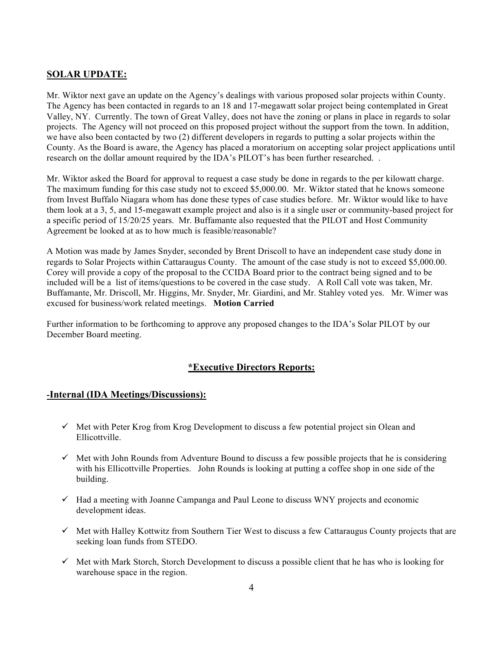# **SOLAR UPDATE:**

Mr. Wiktor next gave an update on the Agency's dealings with various proposed solar projects within County. The Agency has been contacted in regards to an 18 and 17-megawatt solar project being contemplated in Great Valley, NY. Currently. The town of Great Valley, does not have the zoning or plans in place in regards to solar projects. The Agency will not proceed on this proposed project without the support from the town. In addition, we have also been contacted by two (2) different developers in regards to putting a solar projects within the County. As the Board is aware, the Agency has placed a moratorium on accepting solar project applications until research on the dollar amount required by the IDA's PILOT's has been further researched. .

Mr. Wiktor asked the Board for approval to request a case study be done in regards to the per kilowatt charge. The maximum funding for this case study not to exceed \$5,000.00. Mr. Wiktor stated that he knows someone from Invest Buffalo Niagara whom has done these types of case studies before. Mr. Wiktor would like to have them look at a 3, 5, and 15-megawatt example project and also is it a single user or community-based project for a specific period of 15/20/25 years. Mr. Buffamante also requested that the PILOT and Host Community Agreement be looked at as to how much is feasible/reasonable?

A Motion was made by James Snyder, seconded by Brent Driscoll to have an independent case study done in regards to Solar Projects within Cattaraugus County. The amount of the case study is not to exceed \$5,000.00. Corey will provide a copy of the proposal to the CCIDA Board prior to the contract being signed and to be included will be a list of items/questions to be covered in the case study. A Roll Call vote was taken, Mr. Buffamante, Mr. Driscoll, Mr. Higgins, Mr. Snyder, Mr. Giardini, and Mr. Stahley voted yes. Mr. Wimer was excused for business/work related meetings. **Motion Carried**

Further information to be forthcoming to approve any proposed changes to the IDA's Solar PILOT by our December Board meeting.

## **\*Executive Directors Reports:**

#### **-Internal (IDA Meetings/Discussions):**

- $\checkmark$  Met with Peter Krog from Krog Development to discuss a few potential project sin Olean and Ellicottville.
- $\checkmark$  Met with John Rounds from Adventure Bound to discuss a few possible projects that he is considering with his Ellicottville Properties. John Rounds is looking at putting a coffee shop in one side of the building.
- $\checkmark$  Had a meeting with Joanne Campanga and Paul Leone to discuss WNY projects and economic development ideas.
- $\checkmark$  Met with Halley Kottwitz from Southern Tier West to discuss a few Cattaraugus County projects that are seeking loan funds from STEDO.
- $\checkmark$  Met with Mark Storch, Storch Development to discuss a possible client that he has who is looking for warehouse space in the region.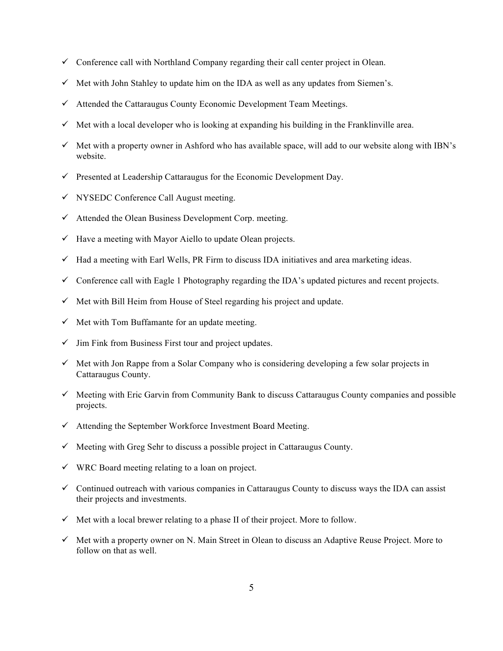- $\checkmark$  Conference call with Northland Company regarding their call center project in Olean.
- $\checkmark$  Met with John Stahley to update him on the IDA as well as any updates from Siemen's.
- $\checkmark$  Attended the Cattaraugus County Economic Development Team Meetings.
- $\checkmark$  Met with a local developer who is looking at expanding his building in the Franklinville area.
- $\checkmark$  Met with a property owner in Ashford who has available space, will add to our website along with IBN's website.
- $\checkmark$  Presented at Leadership Cattaraugus for the Economic Development Day.
- $\checkmark$  NYSEDC Conference Call August meeting.
- $\checkmark$  Attended the Olean Business Development Corp. meeting.
- $\checkmark$  Have a meeting with Mayor Aiello to update Olean projects.
- $\checkmark$  Had a meeting with Earl Wells, PR Firm to discuss IDA initiatives and area marketing ideas.
- $\checkmark$  Conference call with Eagle 1 Photography regarding the IDA's updated pictures and recent projects.
- $\checkmark$  Met with Bill Heim from House of Steel regarding his project and update.
- $\checkmark$  Met with Tom Buffamante for an update meeting.
- $\checkmark$  Jim Fink from Business First tour and project updates.
- $\checkmark$  Met with Jon Rappe from a Solar Company who is considering developing a few solar projects in Cattaraugus County.
- $\checkmark$  Meeting with Eric Garvin from Community Bank to discuss Cattaraugus County companies and possible projects.
- $\checkmark$  Attending the September Workforce Investment Board Meeting.
- $\checkmark$  Meeting with Greg Sehr to discuss a possible project in Cattaraugus County.
- $\checkmark$  WRC Board meeting relating to a loan on project.
- $\checkmark$  Continued outreach with various companies in Cattaraugus County to discuss ways the IDA can assist their projects and investments.
- $\checkmark$  Met with a local brewer relating to a phase II of their project. More to follow.
- $\checkmark$  Met with a property owner on N. Main Street in Olean to discuss an Adaptive Reuse Project. More to follow on that as well.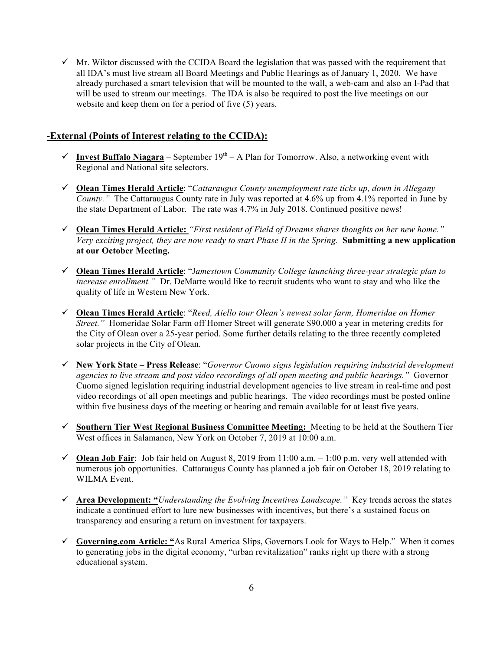$\checkmark$  Mr. Wiktor discussed with the CCIDA Board the legislation that was passed with the requirement that all IDA's must live stream all Board Meetings and Public Hearings as of January 1, 2020. We have already purchased a smart television that will be mounted to the wall, a web-cam and also an I-Pad that will be used to stream our meetings. The IDA is also be required to post the live meetings on our website and keep them on for a period of five (5) years.

## **-External (Points of Interest relating to the CCIDA):**

- $\checkmark$  **Invest Buffalo Niagara** September 19<sup>th</sup> A Plan for Tomorrow. Also, a networking event with Regional and National site selectors.
- ! **Olean Times Herald Article**: "*Cattaraugus County unemployment rate ticks up, down in Allegany County."* The Cattaraugus County rate in July was reported at 4.6% up from 4.1% reported in June by the state Department of Labor. The rate was 4.7% in July 2018. Continued positive news!
- ! **Olean Times Herald Article:** *"First resident of Field of Dreams shares thoughts on her new home." Very exciting project, they are now ready to start Phase II in the Spring.* **Submitting a new application at our October Meeting.**
- ! **Olean Times Herald Article**: "J*amestown Community College launching three-year strategic plan to increase enrollment."* Dr. DeMarte would like to recruit students who want to stay and who like the quality of life in Western New York.
- ! **Olean Times Herald Article**: "*Reed, Aiello tour Olean's newest solar farm, Homeridae on Homer Street."* Homeridae Solar Farm off Homer Street will generate \$90,000 a year in metering credits for the City of Olean over a 25-year period. Some further details relating to the three recently completed solar projects in the City of Olean.
- ! **New York State Press Release**: "*Governor Cuomo signs legislation requiring industrial development agencies to live stream and post video recordings of all open meeting and public hearings."* Governor Cuomo signed legislation requiring industrial development agencies to live stream in real-time and post video recordings of all open meetings and public hearings. The video recordings must be posted online within five business days of the meeting or hearing and remain available for at least five years.
- ! **Southern Tier West Regional Business Committee Meeting:** Meeting to be held at the Southern Tier West offices in Salamanca, New York on October 7, 2019 at 10:00 a.m.
- $\checkmark$  **Olean Job Fair**: Job fair held on August 8, 2019 from 11:00 a.m. 1:00 p.m. very well attended with numerous job opportunities. Cattaraugus County has planned a job fair on October 18, 2019 relating to WILMA Event.
- ! **Area Development: "***Understanding the Evolving Incentives Landscape."* Key trends across the states indicate a continued effort to lure new businesses with incentives, but there's a sustained focus on transparency and ensuring a return on investment for taxpayers.
- ! **Governing.com Article: "**As Rural America Slips, Governors Look for Ways to Help." When it comes to generating jobs in the digital economy, "urban revitalization" ranks right up there with a strong educational system.